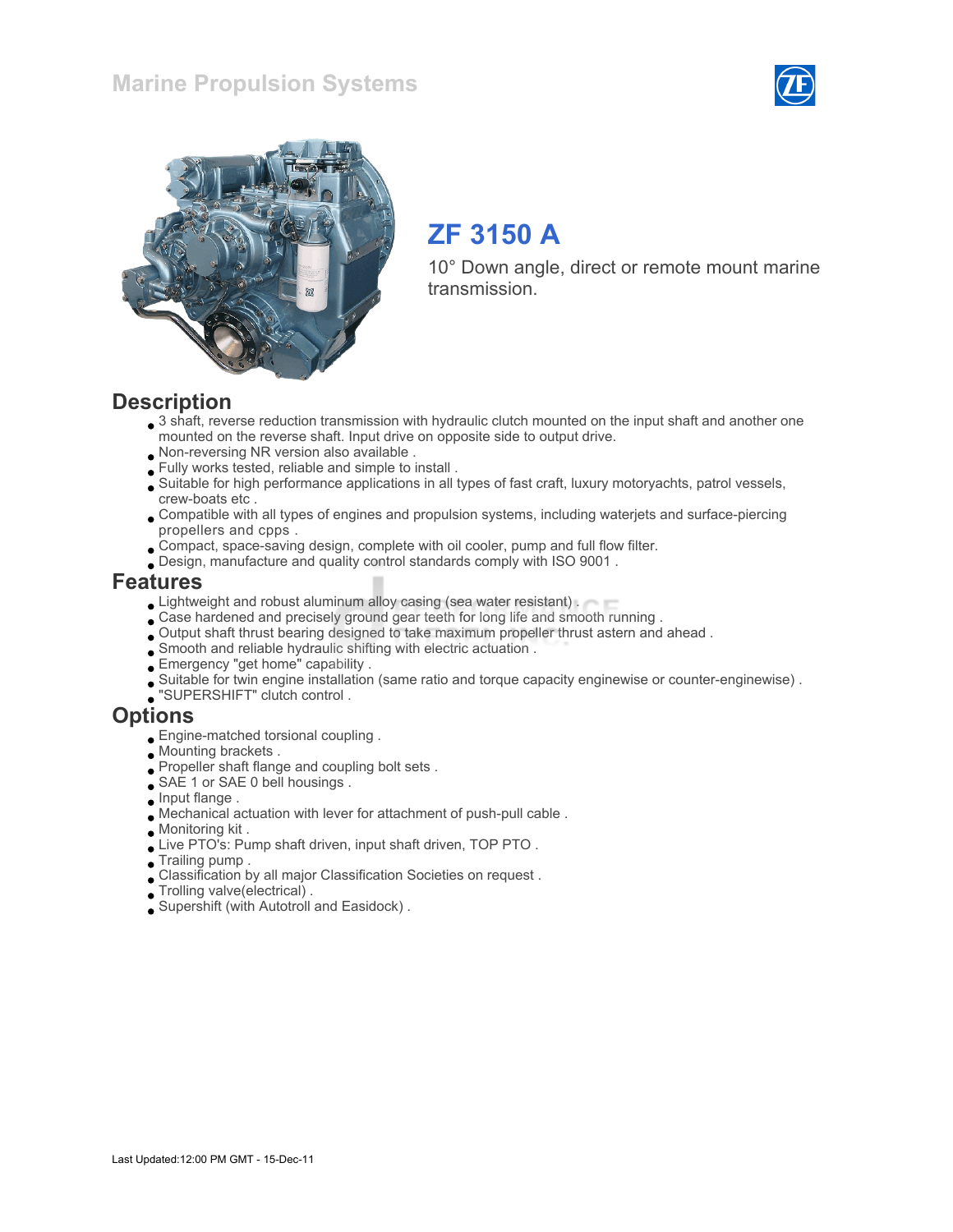



# ZF 3150 A

10° Down angle, direct or remote mount marine transmission.

#### **Description**

- 3 shaft, reverse reduction transmission with hydraulic clutch mounted on the input shaft and another one mounted on the reverse shaft. Input drive on opposite side to output drive.
- Non-reversing NR version also available .
- Fully works tested, reliable and simple to install .
- Suitable for high performance applications in all types of fast craft, luxury motoryachts, patrol vessels, crew-boats etc .
- Compatible with all types of engines and propulsion systems, including waterjets and surface-piercing propellers and cpps .
- Compact, space-saving design, complete with oil cooler, pump and full flow filter.
- Design, manufacture and quality control standards comply with ISO 9001 .

#### Features

- **Lightweight and robust aluminum alloy casing (sea water resistant).**
- Case hardened and precisely ground gear teeth for long life and smooth running .
- Output shaft thrust bearing designed to take maximum propeller thrust astern and ahead .
- Smooth and reliable hydraulic shifting with electric actuation .
- Emergency "get home" capability .
- Suitable for twin engine installation (same ratio and torque capacity enginewise or counter-enginewise) .
- "SUPERSHIFT" clutch control .

#### **Options**

- Engine-matched torsional coupling .
- Mounting brackets .
- Propeller shaft flange and coupling bolt sets .
- SAE 1 or SAE 0 bell housings.
- $\Box$  Input flange .
- Mechanical actuation with lever for attachment of push-pull cable .
- Monitoring kit .
- Live PTO's: Pump shaft driven, input shaft driven, TOP PTO .
- Trailing pump .
- Classification by all major Classification Societies on request .
- Trolling valve(electrical) .
- Supershift (with Autotroll and Easidock) .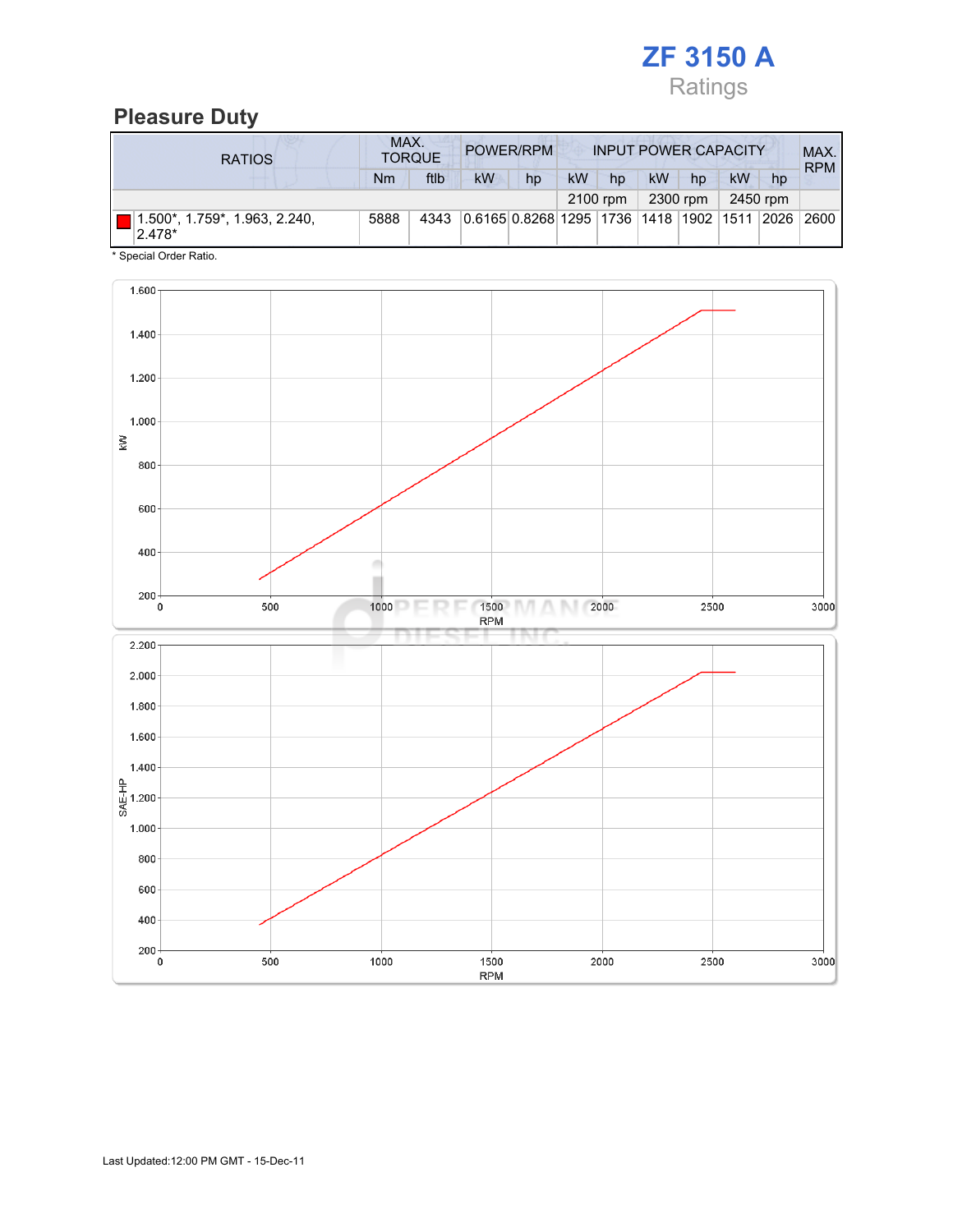

## Pleasure Duty

| <b>RATIOS</b>                           | MAX.<br>POWER/RPM<br><b>TORQUE</b> |      |                                                         |    | <b>INPUT POWER CAPACITY</b> |          |    |          |    |          | MAX.<br><b>RPM</b> |
|-----------------------------------------|------------------------------------|------|---------------------------------------------------------|----|-----------------------------|----------|----|----------|----|----------|--------------------|
|                                         | Nm                                 | ftlb | <b>kW</b>                                               | hp | kW                          | hp       | kW | hp       | kW | hp       |                    |
|                                         |                                    |      |                                                         |    |                             | 2100 rpm |    | 2300 rpm |    | 2450 rpm |                    |
| 1.500*, 1.759*, 1.963, 2.240,<br>2.478* | 5888                               | 4343 | 0.6165 0.8268 1295  1736  1418  1902  1511  2026   2600 |    |                             |          |    |          |    |          |                    |

\* Special Order Ratio.

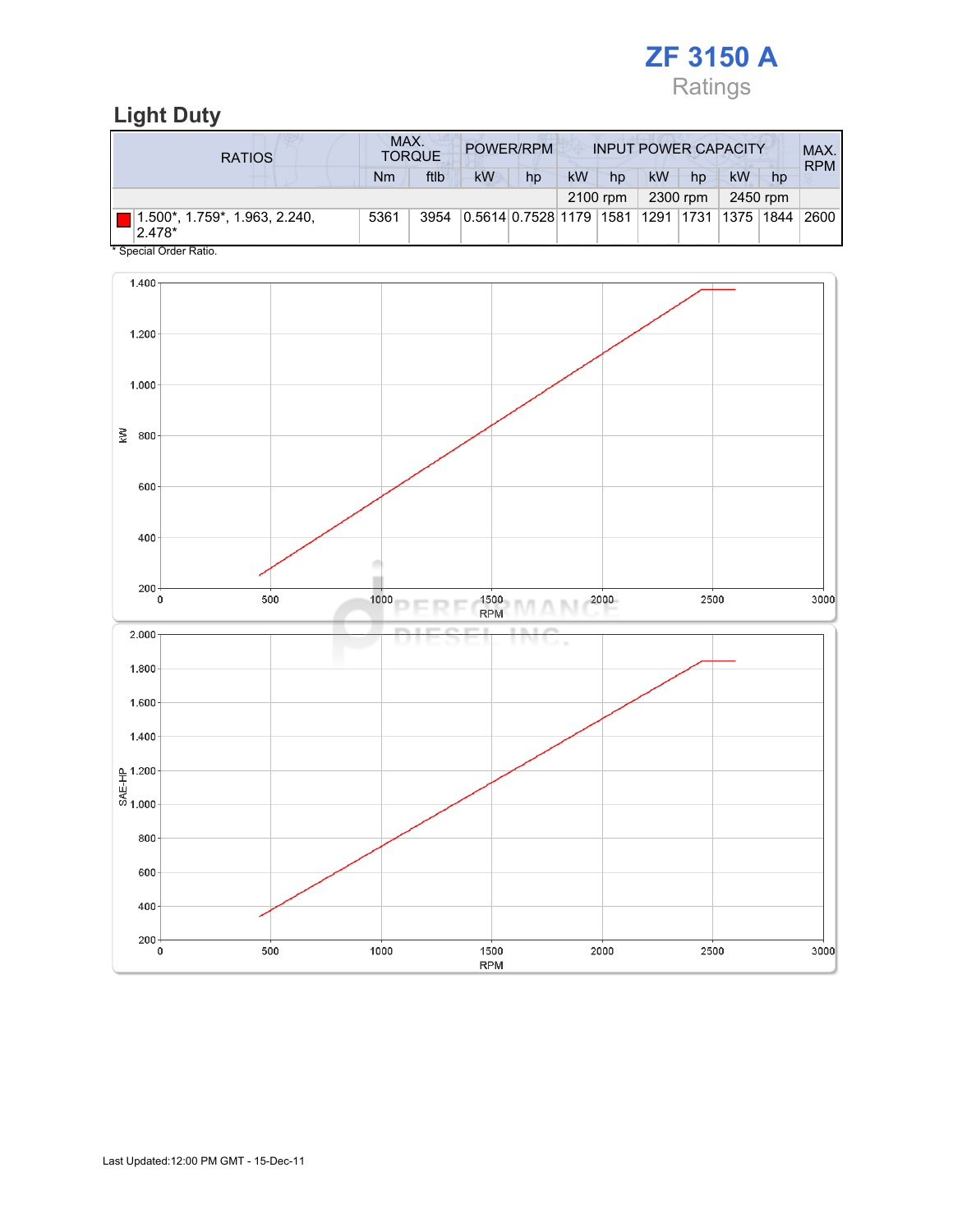

## Light Duty

| <b>RATIOS</b>                              | MAX.<br>POWER/RPM<br><b>TORQUE</b> |      |    |                                             | <b>INPUT POWER CAPACITY</b> |          |    |          |    |          | MAX.<br><b>RPM</b> |
|--------------------------------------------|------------------------------------|------|----|---------------------------------------------|-----------------------------|----------|----|----------|----|----------|--------------------|
|                                            | Nm                                 | ftlb | kW | hp                                          | <b>kW</b>                   | hp       | kW | hp       | kW | hp       |                    |
|                                            |                                    |      |    |                                             |                             | 2100 rpm |    | 2300 rpm |    | 2450 rpm |                    |
| 1.500*, 1.759*, 1.963, 2.240,<br>$ 2.478*$ | 5361                               | 3954 |    | 0.5614 0.7528 1179 1581 1291 1731 1375 1844 |                             |          |    |          |    |          | 2600               |
| * Special Order Ratio.                     |                                    |      |    |                                             |                             |          |    |          |    |          |                    |

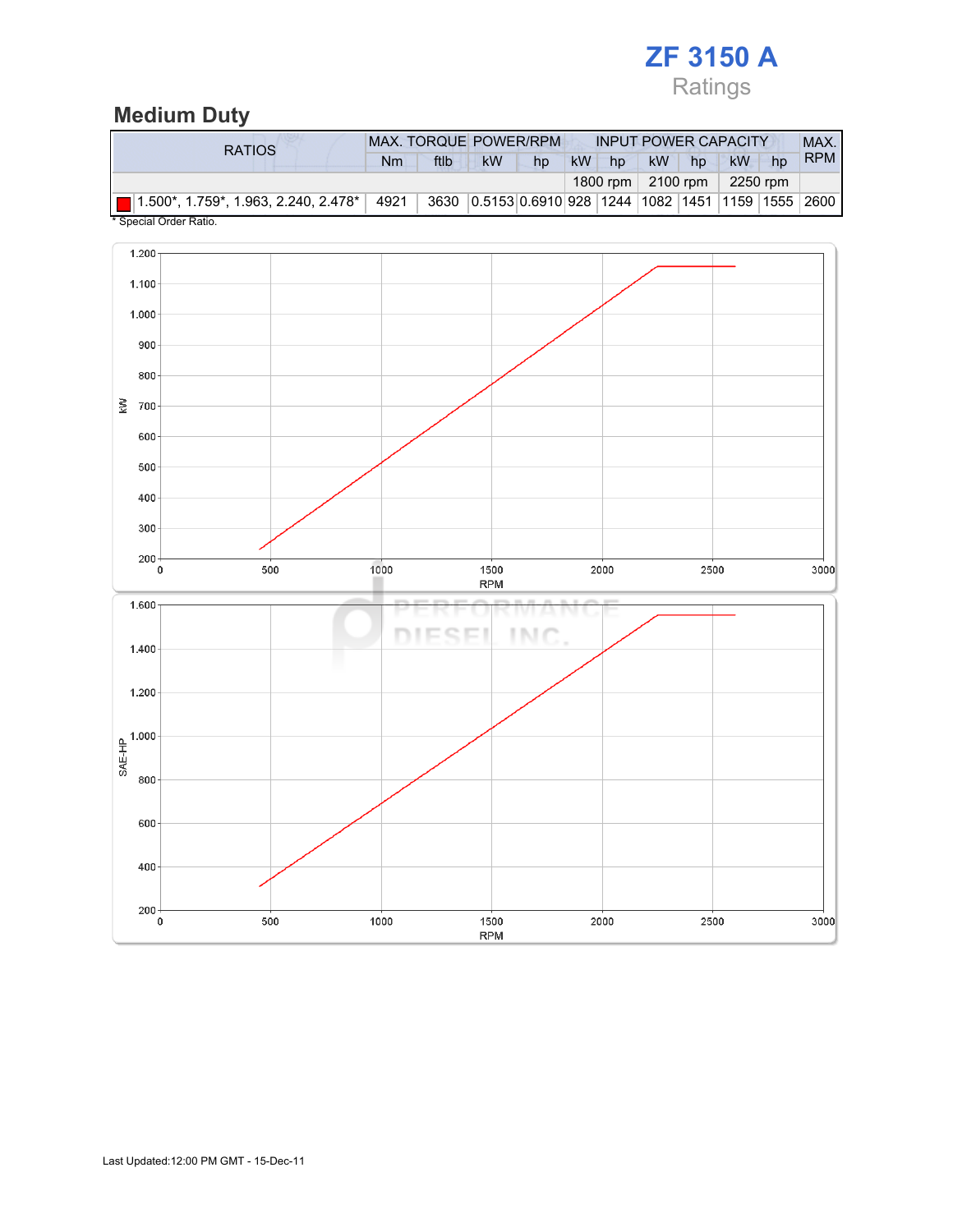# ZF 3150 A Ratings

## Medium Duty

| <b>RATIOS</b>                            | MAX. TORQUE POWER/RPM |      |                                                      |    | <b>INPUT POWER CAPACITY</b> |    |           |                                   |          |    | MAX.       |
|------------------------------------------|-----------------------|------|------------------------------------------------------|----|-----------------------------|----|-----------|-----------------------------------|----------|----|------------|
|                                          | Nm                    | ftlb | kW                                                   | hp | <b>kW</b>                   | hp | <b>kW</b> | hp                                | kW       | hp | <b>RPM</b> |
|                                          |                       |      |                                                      |    |                             |    |           | 1800 rpm $\vert$ 2100 rpm $\vert$ | 2250 rpm |    |            |
| ■ 1.500*, 1.759*, 1.963, 2.240, 2.478* │ | 4921                  |      | 3630 0.5153 0.6910 928 1244 1082 1451 1159 1555 2600 |    |                             |    |           |                                   |          |    |            |
| * Special Order Ratio.                   |                       |      |                                                      |    |                             |    |           |                                   |          |    |            |

 $1.200$  $1.100$  $1.000 \cdot$  $900$ 800  $\geq$  700 600 500  $400 \cdot$  $300 200 +$ 1000 500  $3000$  $\pmb{0}$ 1500 2000  $2500\,$ **RPM** 1.600 DIESEL **INC** 1.400  $1.200$  $rac{4}{\frac{1}{\frac{1}{\sqrt{2}}}}$  1.000 800 600  $400 \cdot$  $\begin{array}{c}\n200 \\
0\n\end{array}$ 500 1000 1500 2000 2500 3000 **RPM**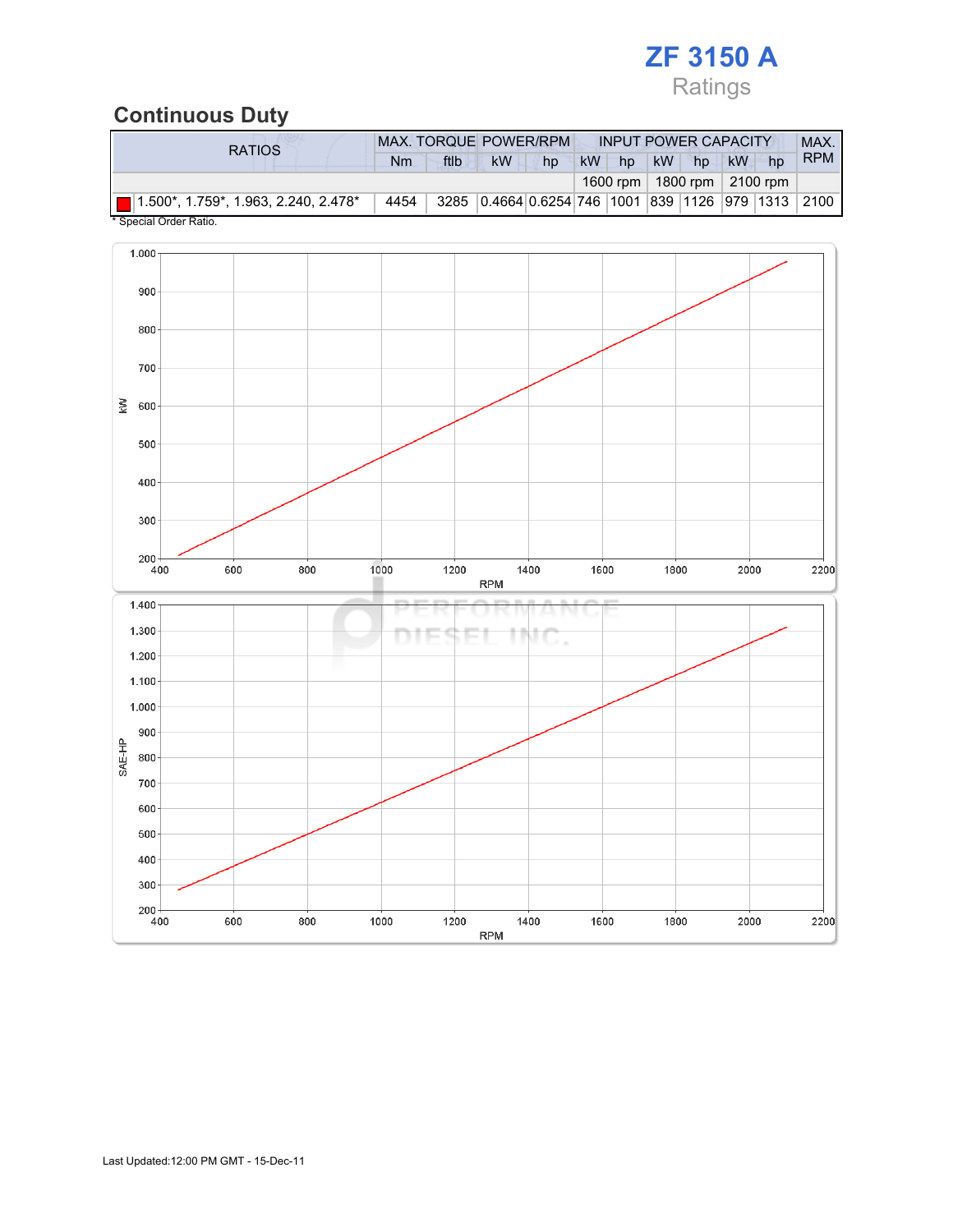# ZF 3150 A Ratings

# Continuous Duty

| <b>kW</b><br>ftlb<br><b>kW</b><br>kW<br>kW<br>Nm<br>hp<br>hp<br>hp<br>hp<br>1600 rpm   1800 rpm   2100 rpm | RATIOS                                      | <b>MAX. TORQUE POWER/RPM</b> |  |  |  |  | <b>INPUT POWER CAPACITY</b> |  |  |  |  | MAX.       |
|------------------------------------------------------------------------------------------------------------|---------------------------------------------|------------------------------|--|--|--|--|-----------------------------|--|--|--|--|------------|
|                                                                                                            |                                             |                              |  |  |  |  |                             |  |  |  |  | <b>RPM</b> |
|                                                                                                            |                                             |                              |  |  |  |  |                             |  |  |  |  |            |
| 3285 0.4664 0.6254 746 1001 839 1126 979 1313 2100                                                         | $\Box$ 1.500*, 1.759*, 1.963, 2.240, 2.478* | 4454                         |  |  |  |  |                             |  |  |  |  |            |

Special Order Ratio.

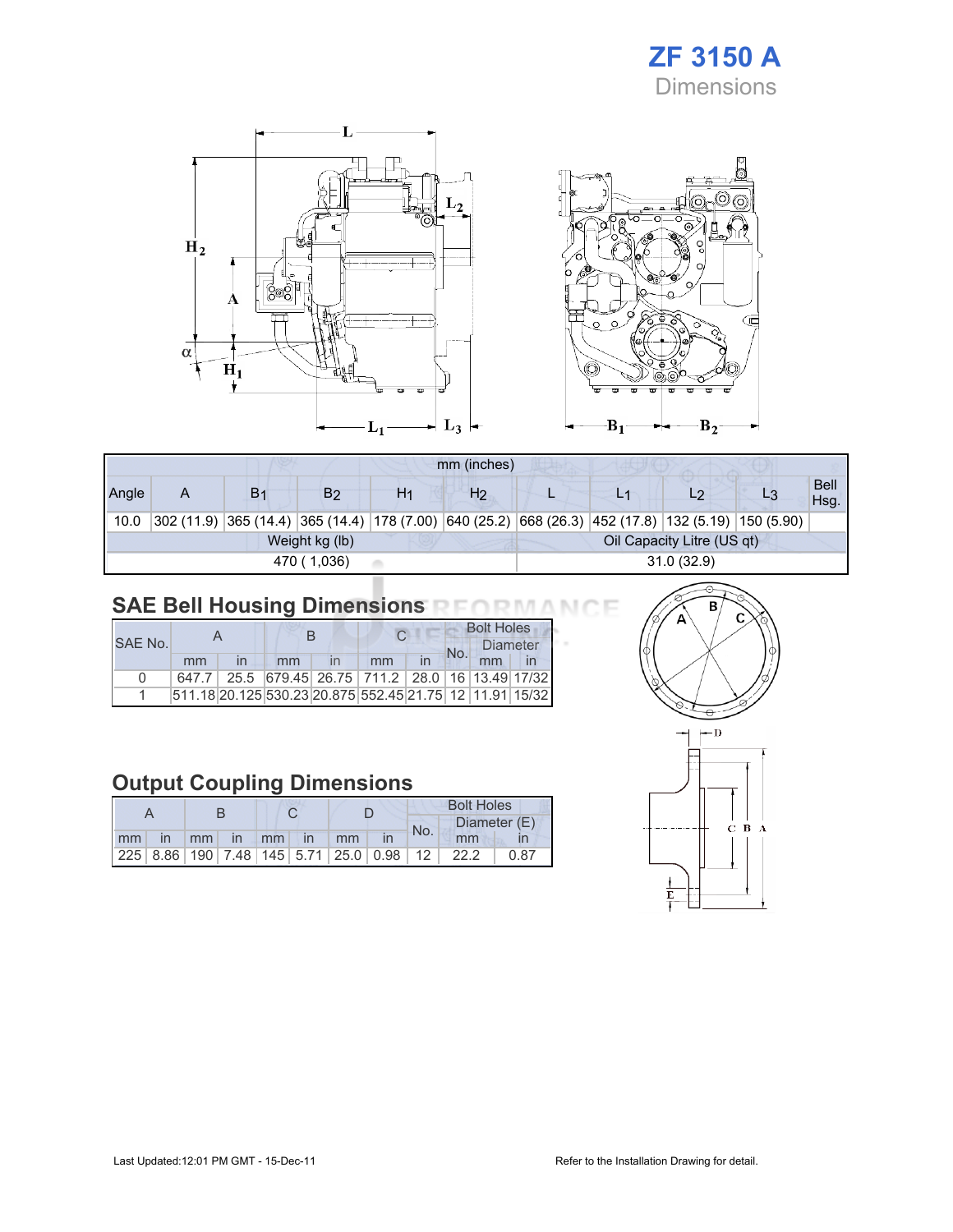# ZF 3150 A **Dimensions**



|                                              | mm (inches)               |                |    |    |                |  |  |                                                                                                    |  |                     |
|----------------------------------------------|---------------------------|----------------|----|----|----------------|--|--|----------------------------------------------------------------------------------------------------|--|---------------------|
| Angle                                        | A                         | B <sub>1</sub> | B2 | H1 | H <sub>2</sub> |  |  | L2                                                                                                 |  | <b>Bell</b><br>Hsg. |
| 10.0                                         |                           |                |    |    |                |  |  | 302 (11.9) 365 (14.4) 365 (14.4) 178 (7.00) 640 (25.2) 668 (26.3) 452 (17.8) 132 (5.19) 150 (5.90) |  |                     |
| Oil Capacity Litre (US qt)<br>Weight kg (lb) |                           |                |    |    |                |  |  |                                                                                                    |  |                     |
|                                              | 31.0(32.9)<br>470 (1,036) |                |    |    |                |  |  |                                                                                                    |  |                     |

# SAE Bell Housing Dimensions RFORMANCE

|              |    |    |  |                                                         |    | <b>Bolt Holes</b> |                 |  |  |
|--------------|----|----|--|---------------------------------------------------------|----|-------------------|-----------------|--|--|
| SAF No.      |    |    |  |                                                         |    |                   | <b>Diameter</b> |  |  |
|              | mm | mm |  | mm                                                      | in | No.               | mm              |  |  |
| <sup>n</sup> |    |    |  | 647.7 25.5 679.45 26.75 711.2 28.0 16 13.49 17/32       |    |                   |                 |  |  |
|              |    |    |  | 511.18 20.125 530.23 20.875 552.45 21.75 12 11.91 15/32 |    |                   |                 |  |  |

## Output Coupling Dimensions

|       |  |                |  |  |  |     |  | <b>Bolt Holes</b>                               |      |
|-------|--|----------------|--|--|--|-----|--|-------------------------------------------------|------|
|       |  |                |  |  |  | No. |  | Diameter (E)                                    |      |
| mm in |  | mm in mm in mm |  |  |  |     |  | mm                                              |      |
|       |  |                |  |  |  |     |  | $ 225 8.86 190 7.48 145 5.71 25.0 0.98 12 22.2$ | 0.87 |